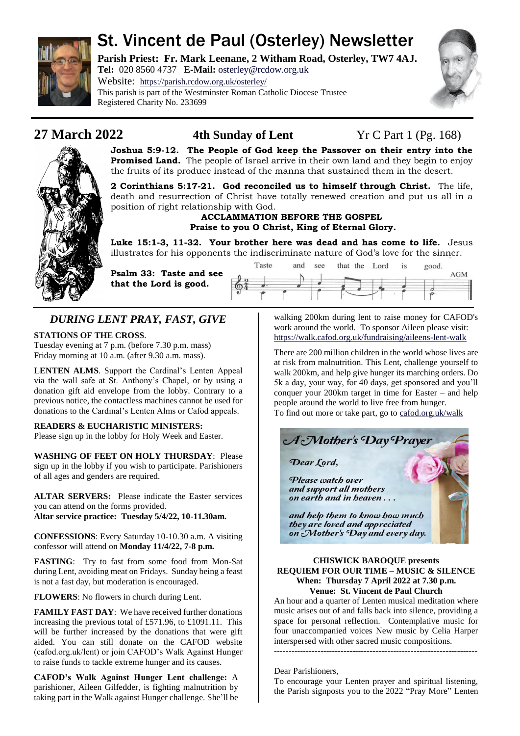

# St. Vincent de Paul (Osterley) Newsletter

**Parish Priest: Fr. Mark Leenane, 2 Witham Road, Osterley, TW7 4AJ. Tel:** 020 8560 4737 **E-Mail:** [osterley@rcdow.org.uk](mailto:osterley@rcdow.org.uk)

Website: <https://parish.rcdow.org.uk/osterley/> This parish is part of the Westminster Roman Catholic Diocese Trustee Registered Charity No. 233699





**Joshua 5:9-12. The People of God keep the Passover on their entry into the Promised Land.** The people of Israel arrive in their own land and they begin to enjoy the fruits of its produce instead of the manna that sustained them in the desert.

**2 Corinthians 5:17-21. God reconciled us to himself through Christ.** The life, death and resurrection of Christ have totally renewed creation and put us all in a position of right relationship with God.

#### **ACCLAMMATION BEFORE THE GOSPEL Praise to you O Christ, King of Eternal Glory.**

**Luke 15:1-3, 11-32. Your brother here was dead and has come to life.** Jesus illustrates for his opponents the indiscriminate nature of God's love for the sinner.

**Psalm 33: Taste and see that the Lord is good.**



## *DURING LENT PRAY, FAST, GIVE*

**STATIONS OF THE CROSS**.

Tuesday evening at 7 p.m. (before 7.30 p.m. mass) Friday morning at 10 a.m. (after 9.30 a.m. mass).

**LENTEN ALMS**. Support the Cardinal's Lenten Appeal via the wall safe at St. Anthony's Chapel, or by using a donation gift aid envelope from the lobby. Contrary to a previous notice, the contactless machines cannot be used for donations to the Cardinal's Lenten Alms or Cafod appeals.

### **READERS & EUCHARISTIC MINISTERS:**

Please sign up in the lobby for Holy Week and Easter.

**WASHING OF FEET ON HOLY THURSDAY**: Please sign up in the lobby if you wish to participate. Parishioners of all ages and genders are required.

**ALTAR SERVERS:** Please indicate the Easter services you can attend on the forms provided. **Altar service practice: Tuesday 5/4/22, 10-11.30am.**

**CONFESSIONS**: Every Saturday 10-10.30 a.m. A visiting confessor will attend on **Monday 11/4/22, 7-8 p.m.**

**FASTING**: Try to fast from some food from Mon-Sat during Lent, avoiding meat on Fridays. Sunday being a feast is not a fast day, but moderation is encouraged.

**FLOWERS**: No flowers in church during Lent.

**FAMILY FAST DAY**: We have received further donations increasing the previous total of £571.96, to £1091.11. This will be further increased by the donations that were gift aided. You can still donate on the CAFOD website (cafod.org.uk/lent) or join CAFOD's Walk Against Hunger to raise funds to tackle extreme hunger and its causes.

**CAFOD's Walk Against Hunger Lent challenge:** A parishioner, Aileen Gilfedder, is fighting malnutrition by taking part in the Walk against Hunger challenge. She'll be walking 200km during lent to raise money for CAFOD's work around the world. To sponsor Aileen please visit: <https://walk.cafod.org.uk/fundraising/aileens-lent-walk>

There are 200 million children in the world whose lives are at risk from malnutrition. This Lent, challenge yourself to walk 200km, and help give hunger its marching orders. Do 5k a day, your way, for 40 days, get sponsored and you'll conquer your 200km target in time for Easter – and help people around the world to live free from hunger. To find out more or take part, go to [cafod.org.uk/walk](https://walk.cafod.org.uk/)



on Mother's Day and every day.

#### **CHISWICK BAROQUE presents REQUIEM FOR OUR TIME – MUSIC & SILENCE When: Thursday 7 April 2022 at 7.30 p.m. Venue: St. Vincent de Paul Church**

An hour and a quarter of Lenten musical meditation where music arises out of and falls back into silence, providing a space for personal reflection. Contemplative music for four unaccompanied voices New music by Celia Harper interspersed with other sacred music compositions.

----------------------------------------------------------------------

Dear Parishioners,

To encourage your Lenten prayer and spiritual listening, the Parish signposts you to the 2022 "Pray More" Lenten